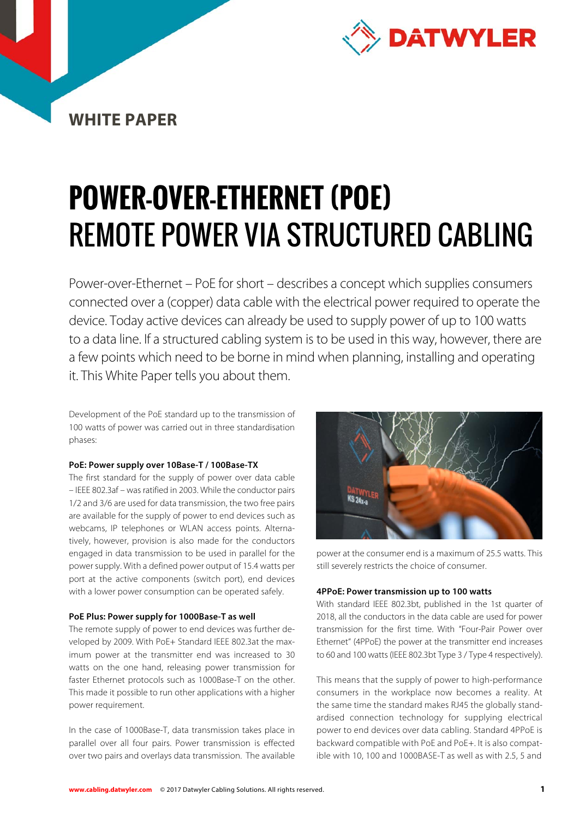

# **POWER-OVER-ETHERNET (POE)**  REMOTE POWER VIA STRUCTURED CABLING

Power-over-Ethernet – PoE for short – describes a concept which supplies consumers connected over a (copper) data cable with the electrical power required to operate the device. Today active devices can already be used to supply power of up to 100 watts to a data line. If a structured cabling system is to be used in this way, however, there are a few points which need to be borne in mind when planning, installing and operating it. This White Paper tells you about them.

Development of the PoE standard up to the transmission of 100 watts of power was carried out in three standardisation phases:

## **PoE: Power supply over 10Base-T / 100Base-TX**

The first standard for the supply of power over data cable – IEEE 802.3af – was ratified in 2003. While the conductor pairs 1/2 and 3/6 are used for data transmission, the two free pairs are available for the supply of power to end devices such as webcams, IP telephones or WLAN access points. Alternatively, however, provision is also made for the conductors engaged in data transmission to be used in parallel for the power supply. With a defined power output of 15.4 watts per port at the active components (switch port), end devices with a lower power consumption can be operated safely.

## **PoE Plus: Power supply for 1000Base-T as well**

The remote supply of power to end devices was further developed by 2009. With PoE+ Standard IEEE 802.3at the maximum power at the transmitter end was increased to 30 watts on the one hand, releasing power transmission for faster Ethernet protocols such as 1000Base-T on the other. This made it possible to run other applications with a higher power requirement.

In the case of 1000Base-T, data transmission takes place in parallel over all four pairs. Power transmission is effected over two pairs and overlays data transmission. The available



power at the consumer end is a maximum of 25.5 watts. This still severely restricts the choice of consumer.

#### **4PPoE: Power transmission up to 100 watts**

With standard IEEE 802.3bt, published in the 1st quarter of 2018, all the conductors in the data cable are used for power transmission for the first time. With "Four-Pair Power over Ethernet" (4PPoE) the power at the transmitter end increases to 60 and 100 watts (IEEE 802.3bt Type 3 / Type 4 respectively).

This means that the supply of power to high-performance consumers in the workplace now becomes a reality. At the same time the standard makes RJ45 the globally standardised connection technology for supplying electrical power to end devices over data cabling. Standard 4PPoE is backward compatible with PoE and PoE+. It is also compatible with 10, 100 and 1000BASE-T as well as with 2.5, 5 and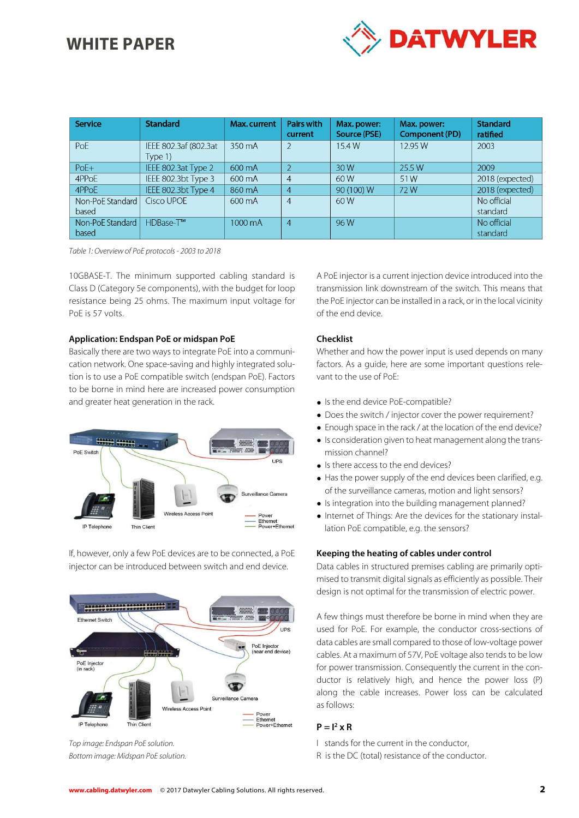

| Service                   | <b>Standard</b>                  | Max. current | Pairs with<br>current | Max. power:<br>Source (PSE) | Max. power:<br>Component (PD) | <b>Standard</b><br>ratified |
|---------------------------|----------------------------------|--------------|-----------------------|-----------------------------|-------------------------------|-----------------------------|
| PoE                       | IEEE 802.3af (802.3at<br>Type 1) | 350 mA       |                       | 15.4W                       | 12.95 W                       | 2003                        |
| $PoE+$                    | IEEE 802.3at Type 2              | 600 mA       |                       | 30 W                        | 25.5 W                        | 2009                        |
| 4PPoE                     | IEEE 802.3bt Type 3              | 600 mA       | $\overline{4}$        | 60 W                        | 51W                           | 2018 (expected)             |
| 4PPoE                     | IEEE 802.3bt Type 4              | 860 mA       | $\overline{4}$        | 90 (100) W                  | 72W                           | 2018 (expected)             |
| Non-PoE Standard<br>based | Cisco UPOE                       | 600 mA       | $\overline{4}$        | 60W                         |                               | No official<br>standard     |
| Non-PoE Standard<br>based | HDBase-T <sup>™</sup>            | 1000 mA      | $\overline{4}$        | 96 W                        |                               | No official<br>standard     |

Table 1: Overview of PoE protocols - 2003 to 2018

10GBASE-T. The minimum supported cabling standard is Class D (Category 5e components), with the budget for loop resistance being 25 ohms. The maximum input voltage for PoE is 57 volts.

## **Application: Endspan PoE or midspan PoE**

Basically there are two ways to integrate PoE into a communication network. One space-saving and highly integrated solution is to use a PoE compatible switch (endspan PoE). Factors to be borne in mind here are increased power consumption and greater heat generation in the rack.



If, however, only a few PoE devices are to be connected, a PoE injector can be introduced between switch and end device.



Top image: Endspan PoE solution. Bottom image: Midspan PoE solution.

A PoE injector is a current injection device introduced into the transmission link downstream of the switch. This means that the PoE injector can be installed in a rack, or in the local vicinity of the end device.

## **Checklist**

Whether and how the power input is used depends on many factors. As a guide, here are some important questions relevant to the use of PoE:

- Is the end device PoE-compatible?
- Does the switch / injector cover the power requirement?
- Enough space in the rack / at the location of the end device?
- Is consideration given to heat management along the trans mission channel?
- Is there access to the end devices?
- Has the power supply of the end devices been clarified, e.g. of the surveillance cameras, motion and light sensors?
- Is integration into the building management planned?
- Internet of Things: Are the devices for the stationary instal lation PoE compatible, e.g. the sensors?

#### **Keeping the heating of cables under control**

Data cables in structured premises cabling are primarily optimised to transmit digital signals as efficiently as possible. Their design is not optimal for the transmission of electric power.

A few things must therefore be borne in mind when they are used for PoE. For example, the conductor cross-sections of data cables are small compared to those of low-voltage power cables. At a maximum of 57V, PoE voltage also tends to be low for power transmission. Consequently the current in the conductor is relatively high, and hence the power loss (P) along the cable increases. Power loss can be calculated as follows:

#### $P = I^2 \times R$

- I stands for the current in the conductor,
- R is the DC (total) resistance of the conductor.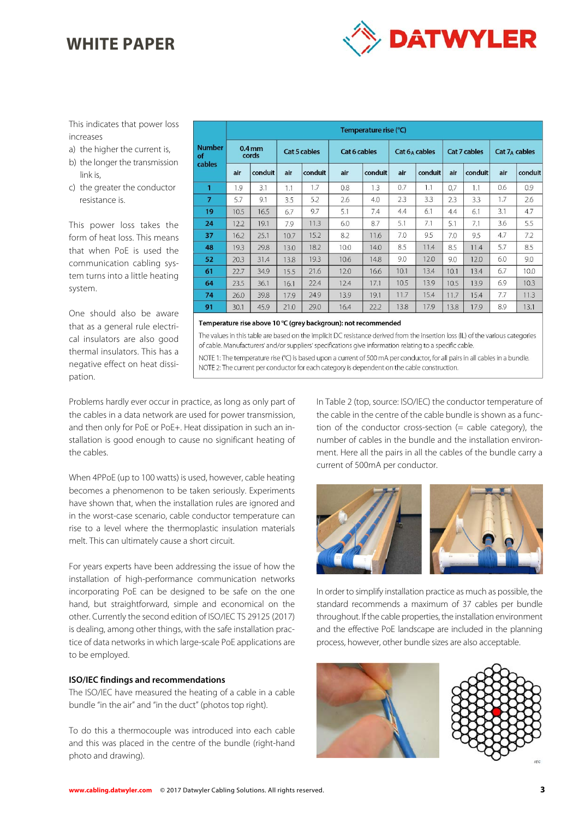

This indicates that power loss increases

- a) the higher the current is,
- b) the longer the transmission link is,
- c) the greater the conductor resistance is.

This power loss takes the form of heat loss. This means that when PoE is used the communication cabling system turns into a little heating system.

One should also be aware that as a general rule electrical insulators are also good thermal insulators. This has a negative effect on heat dissipation.

|                     |                            | Temperature rise (°C) |              |         |              |         |                 |         |              |         |                  |         |  |
|---------------------|----------------------------|-----------------------|--------------|---------|--------------|---------|-----------------|---------|--------------|---------|------------------|---------|--|
| <b>Number</b><br>of | 0.4 <sub>mm</sub><br>cords |                       | Cat 5 cables |         | Cat 6 cables |         | $Cat 6A$ cables |         | Cat 7 cables |         | Cat $7_A$ cables |         |  |
| cables              | air                        | conduit               | air          | conduit | air          | conduit | air             | conduit | air          | conduit | air              | conduit |  |
| 1                   | 1.9                        | 3.1                   | 1.1          | 1.7     | 0.8          | 1.3     | 0.7             | 1.1     | 0,7          | 1.1     | 0.6              | 0.9     |  |
| 7                   | 5.7                        | 9.1                   | 3.5          | 5.2     | 2.6          | 4.0     | 2.3             | 3.3     | 2.3          | 3.3     | 1.7              | 2.6     |  |
| 19                  | 10.5                       | 16.5                  | 6.7          | 9.7     | 5.1          | 7.4     | 4.4             | 6.1     | 4.4          | 6.1     | 3.1              | 4.7     |  |
| 24                  | 12.2                       | 19.1                  | 7.9          | 11.3    | 6.0          | 8.7     | 5.1             | 7.1     | 5.1          | 7.1     | 3.6              | 5.5     |  |
| 37                  | 16.2                       | 25.1                  | 10.7         | 15.2    | 8.2          | 11.6    | 7.0             | 9.5     | 7.0          | 9.5     | 4.7              | 7.2     |  |
| 48                  | 19.3                       | 29.8                  | 13.0         | 18.2    | 10.0         | 14.0    | 8.5             | 11.4    | 8.5          | 11.4    | 5.7              | 8.5     |  |
| 52                  | 20.3                       | 31.4                  | 13.8         | 19.3    | 10.6         | 14.8    | 9,0             | 12.0    | 9.0          | 12.0    | 6.0              | 9.0     |  |
| 61                  | 22.7                       | 34.9                  | 15.5         | 21.6    | 12.0         | 16.6    | 10.1            | 13.4    | 10.1         | 13.4    | 6.7              | 10.0    |  |
| 64                  | 23.5                       | 36.1                  | 16.1         | 22.4    | 12.4         | 17.1    | 10.5            | 13.9    | 10.5         | 13.9    | 6.9              | 10.3    |  |
| 74                  | 26.0                       | 39.8                  | 17.9         | 24.9    | 13.9         | 19.1    | 11.7            | 15.4    | 11.7         | 15.4    | 7.7              | 11.3    |  |
| 91                  | 30.1                       | 45.9                  | 21.0         | 29.0    | 16,4         | 22.2    | 13.8            | 17.9    | 13.8         | 17.9    | 8,9              | 13.1    |  |

#### Temperature rise above 10 °C (grey backgroun): not recommended

The values in this table are based on the implicit DC resistance derived from the insertion loss (IL) of the various categories of cable. Manufacturers' and/or suppliers' specifications give information relating to a specific cable.

NOTE 1: The temperature rise (°C) is based upon a current of 500 mA per conductor, for all pairs in all cables in a bundle. NOTE 2: The current per conductor for each category is dependent on the cable construction.

Problems hardly ever occur in practice, as long as only part of the cables in a data network are used for power transmission, and then only for PoE or PoE+. Heat dissipation in such an installation is good enough to cause no significant heating of the cables.

When 4PPoE (up to 100 watts) is used, however, cable heating becomes a phenomenon to be taken seriously. Experiments have shown that, when the installation rules are ignored and in the worst-case scenario, cable conductor temperature can rise to a level where the thermoplastic insulation materials melt. This can ultimately cause a short circuit.

For years experts have been addressing the issue of how the installation of high-performance communication networks incorporating PoE can be designed to be safe on the one hand, but straightforward, simple and economical on the other. Currently the second edition of ISO/IEC TS 29125 (2017) is dealing, among other things, with the safe installation practice of data networks in which large-scale PoE applications are to be employed.

#### **ISO/IEC findings and recommendations**

The ISO/IEC have measured the heating of a cable in a cable bundle "in the air" and "in the duct" (photos top right).

To do this a thermocouple was introduced into each cable and this was placed in the centre of the bundle (right-hand photo and drawing).

In Table 2 (top, source: ISO/IEC) the conductor temperature of the cable in the centre of the cable bundle is shown as a function of the conductor cross-section  $(=$  cable category), the number of cables in the bundle and the installation environment. Here all the pairs in all the cables of the bundle carry a current of 500mA per conductor.



In order to simplify installation practice as much as possible, the standard recommends a maximum of 37 cables per bundle throughout. If the cable properties, the installation environment and the effective PoE landscape are included in the planning process, however, other bundle sizes are also acceptable.